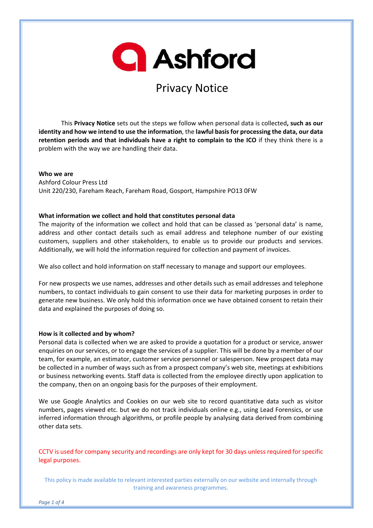# **Q** Ashford

## Privacy Notice

This **Privacy Notice** sets out the steps we follow when personal data is collected**, such as our identity and how we intend to use the information**, the **lawful basisfor processing the data, our data retention periods and that individuals have a right to complain to the ICO** if they think there is a problem with the way we are handling their data.

**Who we are** Ashford Colour Press Ltd Unit 220/230, Fareham Reach, Fareham Road, Gosport, Hampshire PO13 0FW

#### **What information we collect and hold that constitutes personal data**

The majority of the information we collect and hold that can be classed as 'personal data' is name, address and other contact details such as email address and telephone number of our existing customers, suppliers and other stakeholders, to enable us to provide our products and services. Additionally, we will hold the information required for collection and payment of invoices.

We also collect and hold information on staff necessary to manage and support our employees.

For new prospects we use names, addresses and other details such as email addresses and telephone numbers, to contact individuals to gain consent to use their data for marketing purposes in order to generate new business. We only hold this information once we have obtained consent to retain their data and explained the purposes of doing so.

#### **How is it collected and by whom?**

Personal data is collected when we are asked to provide a quotation for a product or service, answer enquiries on our services, or to engage the services of a supplier. This will be done by a member of our team, for example, an estimator, customer service personnel or salesperson. New prospect data may be collected in a number of ways such as from a prospect company's web site, meetings at exhibitions or business networking events. Staff data is collected from the employee directly upon application to the company, then on an ongoing basis for the purposes of their employment.

We use Google Analytics and Cookies on our web site to record quantitative data such as visitor numbers, pages viewed etc. but we do not track individuals online e.g., using Lead Forensics, or use inferred information through algorithms, or profile people by analysing data derived from combining other data sets.

CCTV is used for company security and recordings are only kept for 30 days unless required for specific legal purposes.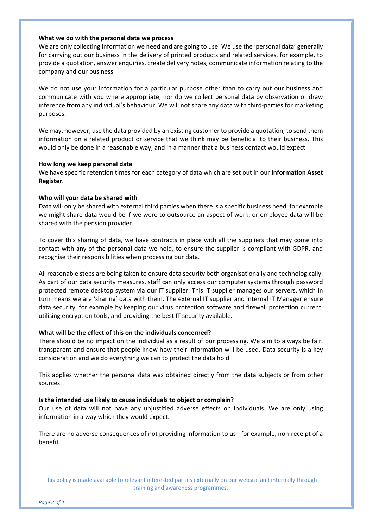#### **What we do with the personal data we process**

We are only collecting information we need and are going to use. We use the 'personal data' generally for carrying out our business in the delivery of printed products and related services, for example, to provide a quotation, answer enquiries, create delivery notes, communicate information relating to the company and our business.

We do not use your information for a particular purpose other than to carry out our business and communicate with you where appropriate, nor do we collect personal data by observation or draw inference from any individual's behaviour. We will not share any data with third‐parties for marketing purposes.

We may, however, use the data provided by an existing customer to provide a quotation, to send them information on a related product or service that we think may be beneficial to their business. This would only be done in a reasonable way, and in a manner that a business contact would expect.

#### **How long we keep personal data**

We have specific retention times for each category of data which are set out in our **Information Asset Register**.

#### **Who will your data be shared with**

Data will only be shared with external third parties when there is a specific business need, for example we might share data would be if we were to outsource an aspect of work, or employee data will be shared with the pension provider.

To cover this sharing of data, we have contracts in place with all the suppliers that may come into contact with any of the personal data we hold, to ensure the supplier is compliant with GDPR, and recognise their responsibilities when processing our data.

All reasonable steps are being taken to ensure data security both organisationally and technologically. As part of our data security measures, staff can only access our computer systems through password protected remote desktop system via our IT supplier. This IT supplier manages our servers, which in turn means we are 'sharing' data with them. The external IT supplier and internal IT Manager ensure data security, for example by keeping our virus protection software and firewall protection current, utilising encryption tools, and providing the best IT security available.

#### **What will be the effect of this on the individuals concerned?**

There should be no impact on the individual as a result of our processing. We aim to always be fair, transparent and ensure that people know how their information will be used. Data security is a key consideration and we do everything we can to protect the data hold.

This applies whether the personal data was obtained directly from the data subjects or from other sources.

#### **Is the intended use likely to cause individuals to object or complain?**

Our use of data will not have any unjustified adverse effects on individuals. We are only using information in a way which they would expect.

There are no adverse consequences of not providing information to us - for example, non-receipt of a benefit.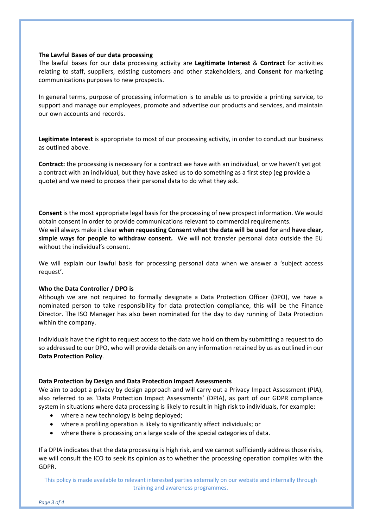#### **The Lawful Bases of our data processing**

The lawful bases for our data processing activity are **Legitimate Interest** & **Contract** for activities relating to staff, suppliers, existing customers and other stakeholders, and **Consent** for marketing communications purposes to new prospects.

In general terms, purpose of processing information is to enable us to provide a printing service, to support and manage our employees, promote and advertise our products and services, and maintain our own accounts and records.

**Legitimate Interest** is appropriate to most of our processing activity, in order to conduct our business as outlined above.

**Contract:** the processing is necessary for a contract we have with an individual, or we haven't yet got a contract with an individual, but they have asked us to do something as a first step (eg provide a quote) and we need to process their personal data to do what they ask.

**Consent** is the most appropriate legal basis for the processing of new prospect information. We would obtain consent in order to provide communications relevant to commercial requirements. We will always make it clear **when requesting Consent what the data will be used for** and **have clear, simple ways for people to withdraw consent.** We will not transfer personal data outside the EU without the individual's consent.

We will explain our lawful basis for processing personal data when we answer a 'subject access request'.

#### **Who the Data Controller / DPO is**

Although we are not required to formally designate a Data Protection Officer (DPO), we have a nominated person to take responsibility for data protection compliance, this will be the Finance Director. The ISO Manager has also been nominated for the day to day running of Data Protection within the company.

Individuals have the right to request access to the data we hold on them by submitting a request to do so addressed to our DPO, who will provide details on any information retained by us as outlined in our **Data Protection Policy**.

#### **Data Protection by Design and Data Protection Impact Assessments**

We aim to adopt a privacy by design approach and will carry out a Privacy Impact Assessment (PIA), also referred to as 'Data Protection Impact Assessments' (DPIA), as part of our GDPR compliance system in situations where data processing is likely to result in high risk to individuals, for example:

- where a new technology is being deployed;
- where a profiling operation is likely to significantly affect individuals; or
- where there is processing on a large scale of the special categories of data.

If a DPIA indicates that the data processing is high risk, and we cannot sufficiently address those risks, we will consult the ICO to seek its opinion as to whether the processing operation complies with the GDPR.